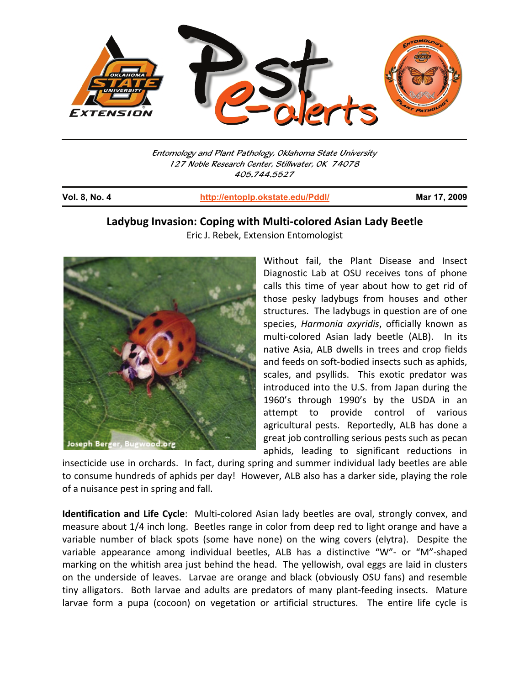

Entomology and Plant Pathology, Oklahoma State University 127 Noble Research Center, Stillwater, OK 74078 405.744.5527

j

**Vol. 8, No. 4 http://entoplp.okstate.edu/Pddl/ Mar 17, 2009**

## **Ladybug Invasion: Coping with Multi-colored Asian Lady Beetle**

Eric J. Rebek, Extension Entomologist



Without fail, the Plant Disease and Insect Diagnostic Lab at OSU receives tons of phone calls this time of year about how to get rid of those pesky ladybugs from houses and other structures. The ladybugs in question are of one species, *Harmonia axyridis*, officially known as multi-colored Asian lady beetle (ALB). In its native Asia, ALB dwells in trees and crop fields and feeds on soft-bodied insects such as aphids, scales, and psyllids. This exotic predator was introduced into the U.S. from Japan during the 1960's through 1990's by the USDA in an attempt to provide control of various agricultural pests. Reportedly, ALB has done a great job controlling serious pests such as pecan aphids, leading to significant reductions in

insecticide use in orchards. In fact, during spring and summer individual lady beetles are able to consume hundreds of aphids per day! However, ALB also has a darker side, playing the role of a nuisance pest in spring and fall.

**Identification and Life Cycle**: Multi-colored Asian lady beetles are oval, strongly convex, and measure about 1/4 inch long. Beetles range in color from deep red to light orange and have a variable number of black spots (some have none) on the wing covers (elytra). Despite the variable appearance among individual beetles, ALB has a distinctive "W"- or "M"-shaped marking on the whitish area just behind the head. The yellowish, oval eggs are laid in clusters on the underside of leaves. Larvae are orange and black (obviously OSU fans) and resemble tiny alligators. Both larvae and adults are predators of many plant-feeding insects. Mature larvae form a pupa (cocoon) on vegetation or artificial structures. The entire life cycle is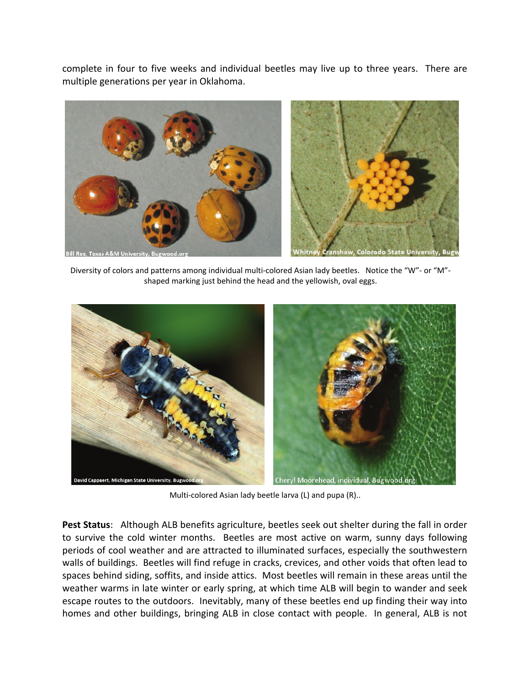complete in four to five weeks and individual beetles may live up to three years. There are multiple generations per year in Oklahoma.



Diversity of colors and patterns among individual multi-colored Asian lady beetles. Notice the "W"- or "M" shaped marking just behind the head and the yellowish, oval eggs.



Multi-colored Asian lady beetle larva (L) and pupa (R)..

**Pest Status**: Although ALB benefits agriculture, beetles seek out shelter during the fall in order to survive the cold winter months. Beetles are most active on warm, sunny days following periods of cool weather and are attracted to illuminated surfaces, especially the southwestern walls of buildings. Beetles will find refuge in cracks, crevices, and other voids that often lead to spaces behind siding, soffits, and inside attics. Most beetles will remain in these areas until the weather warms in late winter or early spring, at which time ALB will begin to wander and seek escape routes to the outdoors. Inevitably, many of these beetles end up finding their way into homes and other buildings, bringing ALB in close contact with people. In general, ALB is not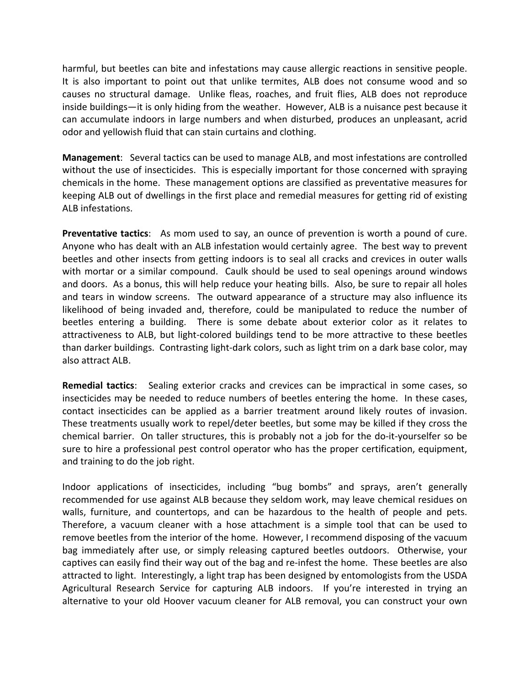harmful, but beetles can bite and infestations may cause allergic reactions in sensitive people. It is also important to point out that unlike termites, ALB does not consume wood and so causes no structural damage. Unlike fleas, roaches, and fruit flies, ALB does not reproduce inside buildings—it is only hiding from the weather. However, ALB is a nuisance pest because it can accumulate indoors in large numbers and when disturbed, produces an unpleasant, acrid odor and yellowish fluid that can stain curtains and clothing.

**Management**: Several tactics can be used to manage ALB, and most infestations are controlled without the use of insecticides. This is especially important for those concerned with spraying chemicals in the home. These management options are classified as preventative measures for keeping ALB out of dwellings in the first place and remedial measures for getting rid of existing ALB infestations.

**Preventative tactics**: As mom used to say, an ounce of prevention is worth a pound of cure. Anyone who has dealt with an ALB infestation would certainly agree. The best way to prevent beetles and other insects from getting indoors is to seal all cracks and crevices in outer walls with mortar or a similar compound. Caulk should be used to seal openings around windows and doors. As a bonus, this will help reduce your heating bills. Also, be sure to repair all holes and tears in window screens. The outward appearance of a structure may also influence its likelihood of being invaded and, therefore, could be manipulated to reduce the number of beetles entering a building. There is some debate about exterior color as it relates to attractiveness to ALB, but light-colored buildings tend to be more attractive to these beetles than darker buildings. Contrasting light-dark colors, such as light trim on a dark base color, may also attract ALB.

**Remedial tactics**: Sealing exterior cracks and crevices can be impractical in some cases, so insecticides may be needed to reduce numbers of beetles entering the home. In these cases, contact insecticides can be applied as a barrier treatment around likely routes of invasion. These treatments usually work to repel/deter beetles, but some may be killed if they cross the chemical barrier. On taller structures, this is probably not a job for the do-it-yourselfer so be sure to hire a professional pest control operator who has the proper certification, equipment, and training to do the job right.

Indoor applications of insecticides, including "bug bombs" and sprays, aren't generally recommended for use against ALB because they seldom work, may leave chemical residues on walls, furniture, and countertops, and can be hazardous to the health of people and pets. Therefore, a vacuum cleaner with a hose attachment is a simple tool that can be used to remove beetles from the interior of the home. However, I recommend disposing of the vacuum bag immediately after use, or simply releasing captured beetles outdoors. Otherwise, your captives can easily find their way out of the bag and re-infest the home. These beetles are also attracted to light. Interestingly, a light trap has been designed by entomologists from the USDA Agricultural Research Service for capturing ALB indoors. If you're interested in trying an alternative to your old Hoover vacuum cleaner for ALB removal, you can construct your own